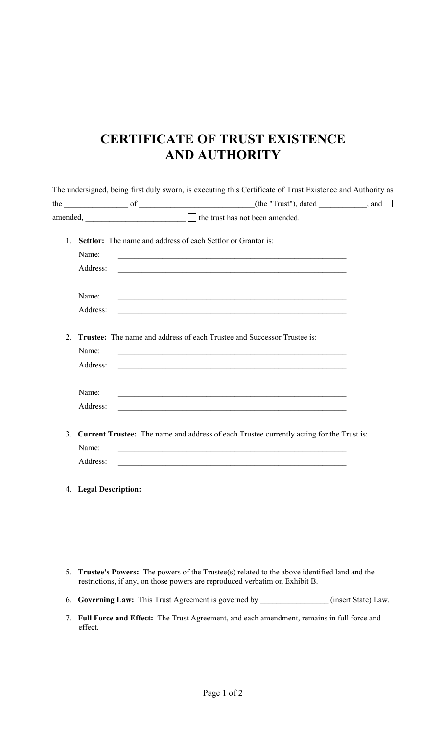## **CERTIFICATE OF TRUST EXISTENCE AND AUTHORITY**

|                                                                                             | <b>Settlor:</b> The name and address of each Settlor or Grantor is: | 1. |
|---------------------------------------------------------------------------------------------|---------------------------------------------------------------------|----|
|                                                                                             | Name:                                                               |    |
|                                                                                             | Address:                                                            |    |
|                                                                                             | Name:                                                               |    |
|                                                                                             | Address:                                                            |    |
| Trustee: The name and address of each Trustee and Successor Trustee is:                     |                                                                     | 2. |
|                                                                                             | Name:                                                               |    |
|                                                                                             |                                                                     |    |
|                                                                                             | Address:                                                            |    |
| <u> 1989 - Johann John Stein, mars an deutscher Stein († 1958)</u>                          | Name:                                                               |    |
|                                                                                             | Address:                                                            |    |
| 3. Current Trustee: The name and address of each Trustee currently acting for the Trust is: |                                                                     |    |
|                                                                                             | Name:                                                               |    |

- 5. **Trustee's Powers:** The powers of the Trustee(s) related to the above identified land and the restrictions, if any, on those powers are reproduced verbatim on Exhibit B.
- 6. **Governing Law:** This Trust Agreement is governed by \_\_\_\_\_\_\_\_\_\_\_\_\_\_\_\_\_ (insert State) Law.
- 7. **Full Force and Effect:** The Trust Agreement, and each amendment, remains in full force and effect.